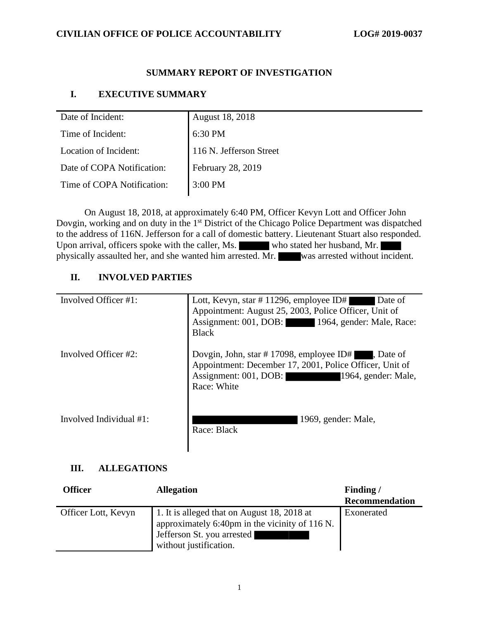## **SUMMARY REPORT OF INVESTIGATION**

# **I. EXECUTIVE SUMMARY**

| Date of Incident:          | <b>August 18, 2018</b>  |
|----------------------------|-------------------------|
| Time of Incident:          | 6:30 PM                 |
| Location of Incident:      | 116 N. Jefferson Street |
| Date of COPA Notification: | February 28, 2019       |
| Time of COPA Notification: | 3:00 PM                 |

On August 18, 2018, at approximately 6:40 PM, Officer Kevyn Lott and Officer John Dovgin, working and on duty in the 1<sup>st</sup> District of the Chicago Police Department was dispatched to the address of 116N. Jefferson for a call of domestic battery. Lieutenant Stuart also responded. Upon arrival, officers spoke with the caller, Ms. who stated her husband, Mr. physically assaulted her, and she wanted him arrested. Mr. was arrested without incident.

# **II. INVOLVED PARTIES**

| Involved Officer #1:    | Lott, Kevyn, star # 11296, employee ID#<br>Date of<br>Appointment: August 25, 2003, Police Officer, Unit of<br>Assignment: 001, DOB: 1964, gender: Male, Race:<br><b>Black</b>             |
|-------------------------|--------------------------------------------------------------------------------------------------------------------------------------------------------------------------------------------|
| Involved Officer #2:    | Dovgin, John, star #17098, employee ID# $\blacksquare$ , Date of<br>Appointment: December 17, 2001, Police Officer, Unit of<br>Assignment: 001, DOB:<br>1964, gender: Male,<br>Race: White |
| Involved Individual #1: | 1969, gender: Male,<br>Race: Black                                                                                                                                                         |

## **III. ALLEGATIONS**

| <b>Officer</b>      | <b>Allegation</b>                                                                                                                                     | Finding/              |
|---------------------|-------------------------------------------------------------------------------------------------------------------------------------------------------|-----------------------|
|                     |                                                                                                                                                       | <b>Recommendation</b> |
| Officer Lott, Kevyn | 1. It is alleged that on August 18, 2018 at<br>approximately 6:40pm in the vicinity of 116 N.<br>Jefferson St. you arrested<br>without justification. | Exonerated            |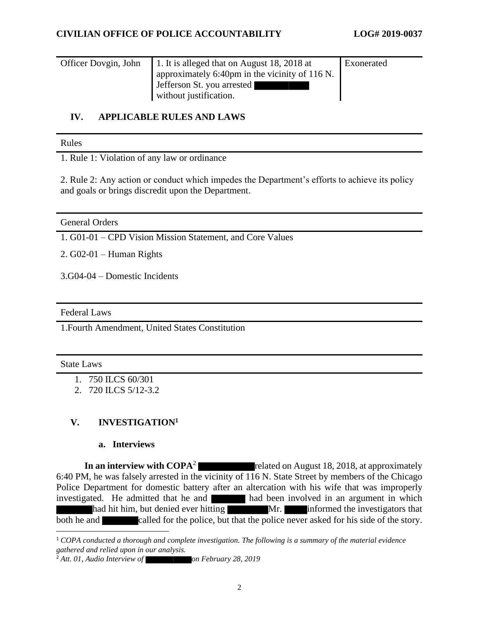| Officer Dovgin, John | 1. It is alleged that on August 18, 2018 at    | Exonerated |
|----------------------|------------------------------------------------|------------|
|                      | approximately 6:40pm in the vicinity of 116 N. |            |
|                      | Jefferson St. you arrested                     |            |
|                      | without justification.                         |            |

## **IV. APPLICABLE RULES AND LAWS**

#### Rules

1. Rule 1: Violation of any law or ordinance

2. Rule 2: Any action or conduct which impedes the Department's efforts to achieve its policy and goals or brings discredit upon the Department.

General Orders

1. G01-01 – CPD Vision Mission Statement, and Core Values

2. G02-01 – Human Rights

3.G04-04 – Domestic Incidents

Federal Laws

1.Fourth Amendment, United States Constitution

#### State Laws

- 1. 750 ILCS 60/301
- 2. 720 ILCS 5/12-3.2

# **V. INVESTIGATION<sup>1</sup>**

#### **a. Interviews**

**In an interview with COPA**<sup>2</sup> related on August 18, 2018, at approximately 6:40 PM, he was falsely arrested in the vicinity of 116 N. State Street by members of the Chicago Police Department for domestic battery after an altercation with his wife that was improperly investigated. He admitted that he and had been involved in an argument in which had hit him, but denied ever hitting Mr. Informed the investigators that both he and called for the police, but that the police never asked for his side of the story.

<sup>1</sup> *COPA conducted a thorough and complete investigation. The following is a summary of the material evidence gathered and relied upon in our analysis.*

<sup>&</sup>lt;sup>2</sup> Att. 01, Audio Interview of **on February 28, 2019**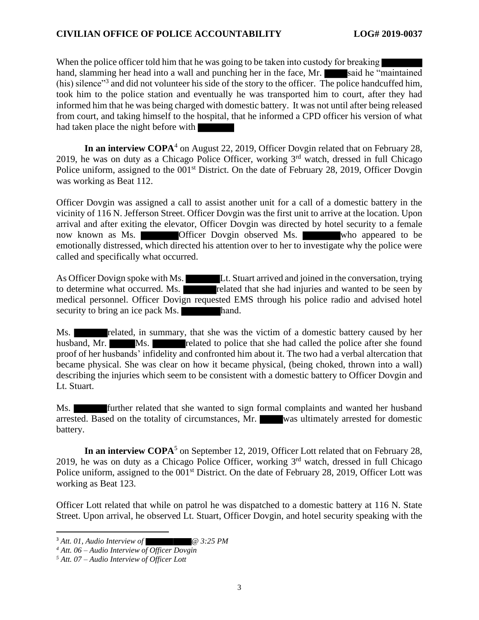## **CIVILIAN OFFICE OF POLICE ACCOUNTABILITY LOG# 2019-0037**

When the police officer told him that he was going to be taken into custody for breaking hand, slamming her head into a wall and punching her in the face, Mr. said he "maintained" (his) silence<sup>33</sup> and did not volunteer his side of the story to the officer. The police handcuffed him, took him to the police station and eventually he was transported him to court, after they had informed him that he was being charged with domestic battery. It was not until after being released from court, and taking himself to the hospital, that he informed a CPD officer his version of what had taken place the night before with

**In an interview COPA**<sup>4</sup> on August 22, 2019, Officer Dovgin related that on February 28, 2019, he was on duty as a Chicago Police Officer, working  $3<sup>rd</sup>$  watch, dressed in full Chicago Police uniform, assigned to the 001<sup>st</sup> District. On the date of February 28, 2019, Officer Dovgin was working as Beat 112.

Officer Dovgin was assigned a call to assist another unit for a call of a domestic battery in the vicinity of 116 N. Jefferson Street. Officer Dovgin was the first unit to arrive at the location. Upon arrival and after exiting the elevator, Officer Dovgin was directed by hotel security to a female now known as Ms. **Officer Dovgin observed Ms.** who appeared to be emotionally distressed, which directed his attention over to her to investigate why the police were called and specifically what occurred.

As Officer Dovign spoke with Ms. Lt. Stuart arrived and joined in the conversation, trying to determine what occurred. Ms. related that she had injuries and wanted to be seen by medical personnel. Officer Dovign requested EMS through his police radio and advised hotel security to bring an ice pack Ms. hand.

Ms. **Related, in summary, that she was the victim of a domestic battery caused by her** husband, Mr. Ms. related to police that she had called the police after she found proof of her husbands' infidelity and confronted him about it. The two had a verbal altercation that became physical. She was clear on how it became physical, (being choked, thrown into a wall) describing the injuries which seem to be consistent with a domestic battery to Officer Dovgin and Lt. Stuart.

Ms. **Further related that she wanted to sign formal complaints and wanted her husband** arrested. Based on the totality of circumstances, Mr. was ultimately arrested for domestic battery.

**In an interview COPA<sup>5</sup>** on September 12, 2019, Officer Lott related that on February 28, 2019, he was on duty as a Chicago Police Officer, working  $3<sup>rd</sup>$  watch, dressed in full Chicago Police uniform, assigned to the 001<sup>st</sup> District. On the date of February 28, 2019, Officer Lott was working as Beat 123.

Officer Lott related that while on patrol he was dispatched to a domestic battery at 116 N. State Street. Upon arrival, he observed Lt. Stuart, Officer Dovgin, and hotel security speaking with the

<sup>3</sup> *Att. 01, Audio Interview of @ 3:25 PM*

*<sup>4</sup> Att. 06 – Audio Interview of Officer Dovgin*

*<sup>5</sup> Att. 07 – Audio Interview of Officer Lott*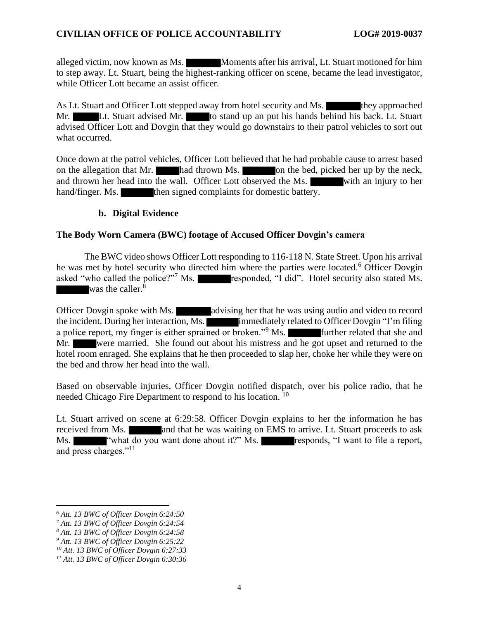alleged victim, now known as Ms. Moments after his arrival, Lt. Stuart motioned for him to step away. Lt. Stuart, being the highest-ranking officer on scene, became the lead investigator, while Officer Lott became an assist officer.

As Lt. Stuart and Officer Lott stepped away from hotel security and Ms. they approached Mr. Lt. Stuart advised Mr. to stand up an put his hands behind his back. Lt. Stuart advised Officer Lott and Dovgin that they would go downstairs to their patrol vehicles to sort out what occurred.

Once down at the patrol vehicles, Officer Lott believed that he had probable cause to arrest based on the allegation that Mr. had thrown Ms. on the bed, picked her up by the neck, and thrown her head into the wall. Officer Lott observed the Ms. with an injury to her hand/finger. Ms. then signed complaints for domestic battery.

## **b. Digital Evidence**

## **The Body Worn Camera (BWC) footage of Accused Officer Dovgin's camera**

The BWC video shows Officer Lott responding to 116-118 N. State Street. Upon his arrival he was met by hotel security who directed him where the parties were located. <sup>6</sup> Officer Dovgin asked "who called the police?"<sup>7</sup> Ms. responded, "I did". Hotel security also stated Ms. was the caller. $\bar{8}$ 

Officer Dovgin spoke with Ms. advising her that he was using audio and video to record the incident. During her interaction, Ms. **immediately related to Officer Dovgin "I'm filing** a police report, my finger is either sprained or broken."<sup>9</sup> Ms. **Further related that she and** Mr. were married. She found out about his mistress and he got upset and returned to the hotel room enraged. She explains that he then proceeded to slap her, choke her while they were on the bed and throw her head into the wall.

Based on observable injuries, Officer Dovgin notified dispatch, over his police radio, that he needed Chicago Fire Department to respond to his location.<sup>10</sup>

Lt. Stuart arrived on scene at 6:29:58. Officer Dovgin explains to her the information he has received from Ms. **All and that he was waiting on EMS** to arrive. Lt. Stuart proceeds to ask Ms. ""what do you want done about it?" Ms. responds, "I want to file a report, and press charges."<sup>11</sup>

*<sup>6</sup> Att. 13 BWC of Officer Dovgin 6:24:50*

*<sup>7</sup> Att. 13 BWC of Officer Dovgin 6:24:54*

*<sup>8</sup> Att. 13 BWC of Officer Dovgin 6:24:58*

*<sup>9</sup> Att. 13 BWC of Officer Dovgin 6:25:22*

*<sup>10</sup> Att. 13 BWC of Officer Dovgin 6:27:33*

*<sup>11</sup> Att. 13 BWC of Officer Dovgin 6:30:36*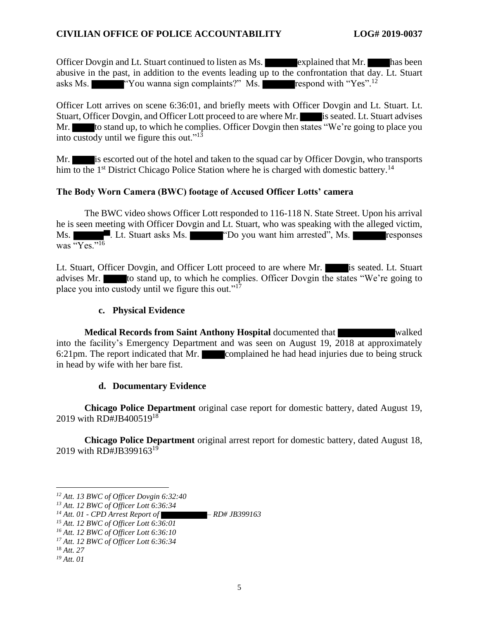Officer Dovgin and Lt. Stuart continued to listen as Ms. explained that Mr. has been abusive in the past, in addition to the events leading up to the confrontation that day. Lt. Stuart asks Ms.  $\blacksquare$  "You wanna sign complaints?" Ms. respond with "Yes".<sup>12</sup>

Officer Lott arrives on scene 6:36:01, and briefly meets with Officer Dovgin and Lt. Stuart. Lt. Stuart, Officer Dovgin, and Officer Lott proceed to are where Mr. is seated. Lt. Stuart advises Mr. to stand up, to which he complies. Officer Dovgin then states "We're going to place you into custody until we figure this out."<sup>13</sup>

Mr. is escorted out of the hotel and taken to the squad car by Officer Dovgin, who transports him to the 1<sup>st</sup> District Chicago Police Station where he is charged with domestic battery.<sup>14</sup>

## **The Body Worn Camera (BWC) footage of Accused Officer Lotts' camera**

The BWC video shows Officer Lott responded to 116-118 N. State Street. Upon his arrival he is seen meeting with Officer Dovgin and Lt. Stuart, who was speaking with the alleged victim, Ms. **Example 1.** Lt. Stuart asks Ms. **The Community Communist Communist Communist Communist Communist Communist Communist Communist Communist Communist Communist Communist Communist Communist Communist Communist Communist** was "Yes."<sup>16</sup>

Lt. Stuart, Officer Dovgin, and Officer Lott proceed to are where Mr. is seated. Lt. Stuart advises Mr. to stand up, to which he complies. Officer Dovgin the states "We're going to place you into custody until we figure this out."<sup>17</sup>

#### **c. Physical Evidence**

**Medical Records from Saint Anthony Hospital documented that walked** into the facility's Emergency Department and was seen on August 19, 2018 at approximately 6:21pm. The report indicated that Mr. complained he had head injuries due to being struck in head by wife with her bare fist.

#### **d. Documentary Evidence**

**Chicago Police Department** original case report for domestic battery, dated August 19, 2019 with RD#JB400519<sup>18</sup>

**Chicago Police Department** original arrest report for domestic battery, dated August 18, 2019 with RD#JB399163<sup>19</sup>

*<sup>12</sup> Att. 13 BWC of Officer Dovgin 6:32:40*

*<sup>13</sup> Att. 12 BWC of Officer Lott 6:36:34*

*<sup>14</sup> Att. 01 - CPD Arrest Report of – RD# JB399163*

*<sup>15</sup> Att. 12 BWC of Officer Lott 6:36:01*

*<sup>16</sup> Att. 12 BWC of Officer Lott 6:36:10*

*<sup>17</sup> Att. 12 BWC of Officer Lott 6:36:34*

<sup>18</sup> *Att. 27*

*<sup>19</sup> Att. 01*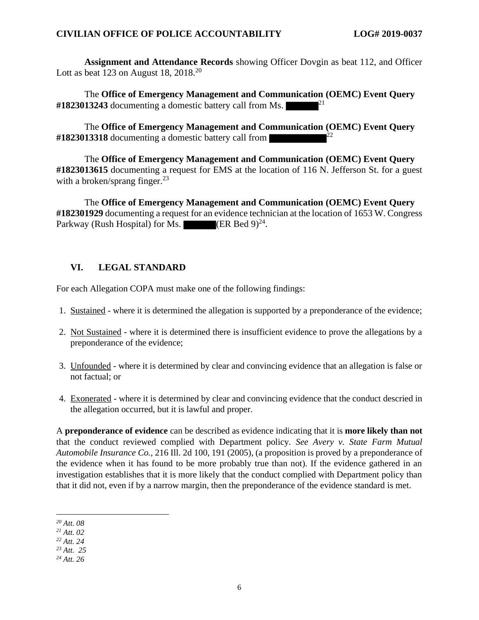**Assignment and Attendance Records** showing Officer Dovgin as beat 112, and Officer Lott as beat 123 on August 18,  $2018^{20}$ 

The **Office of Emergency Management and Communication (OEMC) Event Query**  #1823013243 documenting a domestic battery call from Ms.

The **Office of Emergency Management and Communication (OEMC) Event Query**  #1823013318 documenting a domestic battery call from

The **Office of Emergency Management and Communication (OEMC) Event Query #1823013615** documenting a request for EMS at the location of 116 N. Jefferson St. for a guest with a broken/sprang finger. $^{23}$ 

The **Office of Emergency Management and Communication (OEMC) Event Query #182301929** documenting a request for an evidence technician at the location of 1653 W. Congress Parkway (Rush Hospital) for Ms.  $\blacksquare$  (ER Bed 9)<sup>24</sup>.

# **VI. LEGAL STANDARD**

For each Allegation COPA must make one of the following findings:

- 1. Sustained where it is determined the allegation is supported by a preponderance of the evidence;
- 2. Not Sustained where it is determined there is insufficient evidence to prove the allegations by a preponderance of the evidence;
- 3. Unfounded where it is determined by clear and convincing evidence that an allegation is false or not factual; or
- 4. Exonerated where it is determined by clear and convincing evidence that the conduct descried in the allegation occurred, but it is lawful and proper.

A **preponderance of evidence** can be described as evidence indicating that it is **more likely than not** that the conduct reviewed complied with Department policy. *See Avery v. State Farm Mutual Automobile Insurance Co.*, 216 Ill. 2d 100, 191 (2005), (a proposition is proved by a preponderance of the evidence when it has found to be more probably true than not). If the evidence gathered in an investigation establishes that it is more likely that the conduct complied with Department policy than that it did not, even if by a narrow margin, then the preponderance of the evidence standard is met.

*<sup>20</sup> Att. 08*

*<sup>21</sup> Att. 02*

*<sup>22</sup> Att. 24*

*<sup>23</sup> Att. 25*

*<sup>24</sup> Att. 26*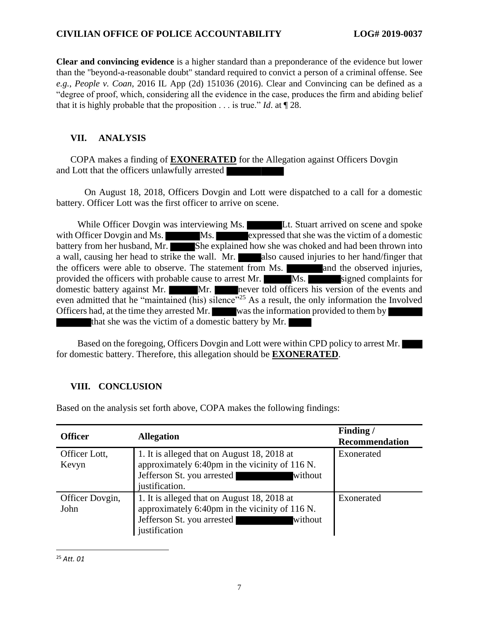#### **CIVILIAN OFFICE OF POLICE ACCOUNTABILITY LOG# 2019-0037**

**Clear and convincing evidence** is a higher standard than a preponderance of the evidence but lower than the "beyond-a-reasonable doubt" standard required to convict a person of a criminal offense. See *e.g.*, *People v. Coan*, 2016 IL App (2d) 151036 (2016). Clear and Convincing can be defined as a "degree of proof, which, considering all the evidence in the case, produces the firm and abiding belief that it is highly probable that the proposition . . . is true." *Id*. at ¶ 28.

# **VII. ANALYSIS**

COPA makes a finding of **EXONERATED** for the Allegation against Officers Dovgin and Lott that the officers unlawfully arrested

On August 18, 2018, Officers Dovgin and Lott were dispatched to a call for a domestic battery. Officer Lott was the first officer to arrive on scene.

While Officer Dovgin was interviewing Ms. **Let us all use** Lt. Stuart arrived on scene and spoke with Officer Dovgin and Ms. Ms. Expressed that she was the victim of a domestic battery from her husband, Mr. She explained how she was choked and had been thrown into a wall, causing her head to strike the wall. Mr. also caused injuries to her hand/finger that the officers were able to observe. The statement from Ms. **All and the observed injuries**, provided the officers with probable cause to arrest Mr. Ms. Signed complaints for domestic battery against Mr. Mr. Mr. never told officers his version of the events and even admitted that he "maintained (his) silence"<sup>25</sup> As a result, the only information the Involved Officers had, at the time they arrested Mr. was the information provided to them by that she was the victim of a domestic battery by Mr.

Based on the foregoing, Officers Dovgin and Lott were within CPD policy to arrest Mr. for domestic battery. Therefore, this allegation should be **EXONERATED**.

## **VIII. CONCLUSION**

| <b>Officer</b>          | <b>Allegation</b>                                                                                                                                        | Finding/<br><b>Recommendation</b> |
|-------------------------|----------------------------------------------------------------------------------------------------------------------------------------------------------|-----------------------------------|
| Officer Lott,<br>Kevyn  | 1. It is alleged that on August 18, 2018 at<br>approximately 6:40pm in the vicinity of 116 N.<br>Jefferson St. you arrested<br>without<br>justification. | Exonerated                        |
| Officer Dovgin,<br>John | 1. It is alleged that on August 18, 2018 at<br>approximately 6:40pm in the vicinity of 116 N.<br>Jefferson St. you arrested<br>without<br>justification  | Exonerated                        |

Based on the analysis set forth above, COPA makes the following findings:

<sup>25</sup> *Att. 01*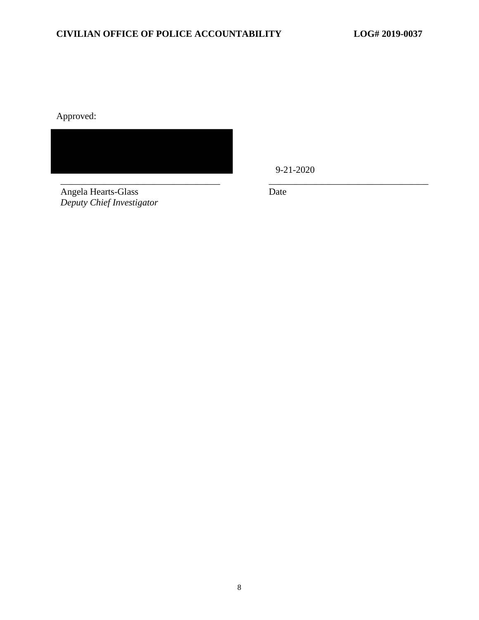Approved:



Angela Hearts-Glass *Deputy Chief Investigator* 9-21-2020

Date